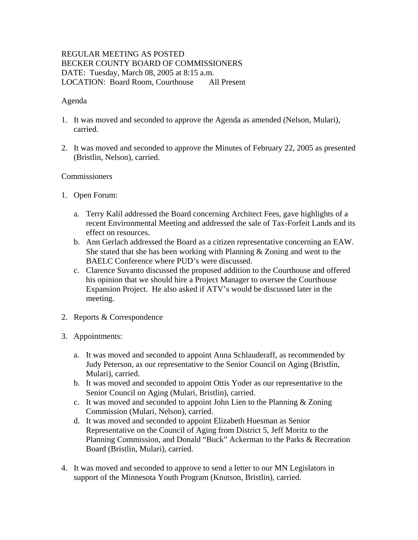# REGULAR MEETING AS POSTED BECKER COUNTY BOARD OF COMMISSIONERS DATE: Tuesday, March 08, 2005 at 8:15 a.m. LOCATION: Board Room, Courthouse All Present

### Agenda

- 1. It was moved and seconded to approve the Agenda as amended (Nelson, Mulari), carried.
- 2. It was moved and seconded to approve the Minutes of February 22, 2005 as presented (Bristlin, Nelson), carried.

### **Commissioners**

- 1. Open Forum:
	- a. Terry Kalil addressed the Board concerning Architect Fees, gave highlights of a recent Environmental Meeting and addressed the sale of Tax-Forfeit Lands and its effect on resources.
	- b. Ann Gerlach addressed the Board as a citizen representative concerning an EAW. She stated that she has been working with Planning & Zoning and went to the BAELC Conference where PUD's were discussed.
	- c. Clarence Suvanto discussed the proposed addition to the Courthouse and offered his opinion that we should hire a Project Manager to oversee the Courthouse Expansion Project. He also asked if ATV's would be discussed later in the meeting.
- 2. Reports & Correspondence
- 3. Appointments:
	- a. It was moved and seconded to appoint Anna Schlauderaff, as recommended by Judy Peterson, as our representative to the Senior Council on Aging (Bristlin, Mulari), carried.
	- b. It was moved and seconded to appoint Ottis Yoder as our representative to the Senior Council on Aging (Mulari, Bristlin), carried.
	- c. It was moved and seconded to appoint John Lien to the Planning & Zoning Commission (Mulari, Nelson), carried.
	- d. It was moved and seconded to appoint Elizabeth Huesman as Senior Representative on the Council of Aging from District 5, Jeff Moritz to the Planning Commission, and Donald "Buck" Ackerman to the Parks & Recreation Board (Bristlin, Mulari), carried.
- 4. It was moved and seconded to approve to send a letter to our MN Legislators in support of the Minnesota Youth Program (Knutson, Bristlin), carried.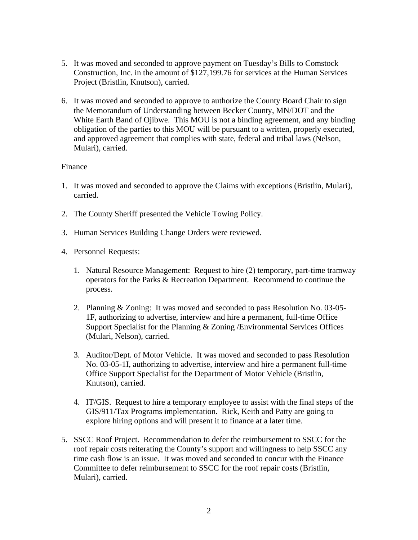- 5. It was moved and seconded to approve payment on Tuesday's Bills to Comstock Construction, Inc. in the amount of \$127,199.76 for services at the Human Services Project (Bristlin, Knutson), carried.
- 6. It was moved and seconded to approve to authorize the County Board Chair to sign the Memorandum of Understanding between Becker County, MN/DOT and the White Earth Band of Ojibwe. This MOU is not a binding agreement, and any binding obligation of the parties to this MOU will be pursuant to a written, properly executed, and approved agreement that complies with state, federal and tribal laws (Nelson, Mulari), carried.

### Finance

- 1. It was moved and seconded to approve the Claims with exceptions (Bristlin, Mulari), carried.
- 2. The County Sheriff presented the Vehicle Towing Policy.
- 3. Human Services Building Change Orders were reviewed.
- 4. Personnel Requests:
	- 1. Natural Resource Management: Request to hire (2) temporary, part-time tramway operators for the Parks & Recreation Department. Recommend to continue the process.
	- 2. Planning & Zoning: It was moved and seconded to pass Resolution No. 03-05- 1F, authorizing to advertise, interview and hire a permanent, full-time Office Support Specialist for the Planning & Zoning /Environmental Services Offices (Mulari, Nelson), carried.
	- 3. Auditor/Dept. of Motor Vehicle. It was moved and seconded to pass Resolution No. 03-05-1I, authorizing to advertise, interview and hire a permanent full-time Office Support Specialist for the Department of Motor Vehicle (Bristlin, Knutson), carried.
	- 4. IT/GIS. Request to hire a temporary employee to assist with the final steps of the GIS/911/Tax Programs implementation. Rick, Keith and Patty are going to explore hiring options and will present it to finance at a later time.
- 5. SSCC Roof Project. Recommendation to defer the reimbursement to SSCC for the roof repair costs reiterating the County's support and willingness to help SSCC any time cash flow is an issue. It was moved and seconded to concur with the Finance Committee to defer reimbursement to SSCC for the roof repair costs (Bristlin, Mulari), carried.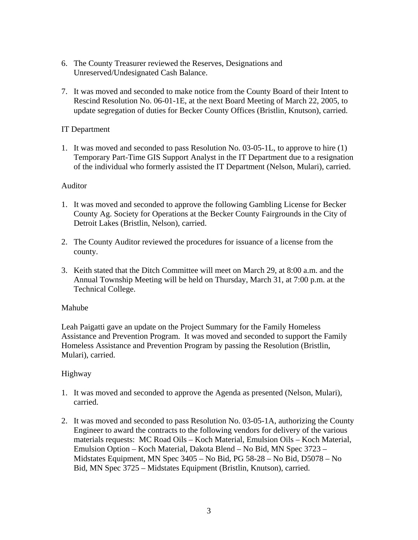- 6. The County Treasurer reviewed the Reserves, Designations and Unreserved/Undesignated Cash Balance.
- 7. It was moved and seconded to make notice from the County Board of their Intent to Rescind Resolution No. 06-01-1E, at the next Board Meeting of March 22, 2005, to update segregation of duties for Becker County Offices (Bristlin, Knutson), carried.

## IT Department

1. It was moved and seconded to pass Resolution No. 03-05-1L, to approve to hire (1) Temporary Part-Time GIS Support Analyst in the IT Department due to a resignation of the individual who formerly assisted the IT Department (Nelson, Mulari), carried.

#### Auditor

- 1. It was moved and seconded to approve the following Gambling License for Becker County Ag. Society for Operations at the Becker County Fairgrounds in the City of Detroit Lakes (Bristlin, Nelson), carried.
- 2. The County Auditor reviewed the procedures for issuance of a license from the county.
- 3. Keith stated that the Ditch Committee will meet on March 29, at 8:00 a.m. and the Annual Township Meeting will be held on Thursday, March 31, at 7:00 p.m. at the Technical College.

#### Mahube

Leah Paigatti gave an update on the Project Summary for the Family Homeless Assistance and Prevention Program. It was moved and seconded to support the Family Homeless Assistance and Prevention Program by passing the Resolution (Bristlin, Mulari), carried.

#### Highway

- 1. It was moved and seconded to approve the Agenda as presented (Nelson, Mulari), carried.
- 2. It was moved and seconded to pass Resolution No. 03-05-1A, authorizing the County Engineer to award the contracts to the following vendors for delivery of the various materials requests: MC Road Oils – Koch Material, Emulsion Oils – Koch Material, Emulsion Option – Koch Material, Dakota Blend – No Bid, MN Spec 3723 – Midstates Equipment, MN Spec 3405 – No Bid, PG 58-28 – No Bid, D5078 – No Bid, MN Spec 3725 – Midstates Equipment (Bristlin, Knutson), carried.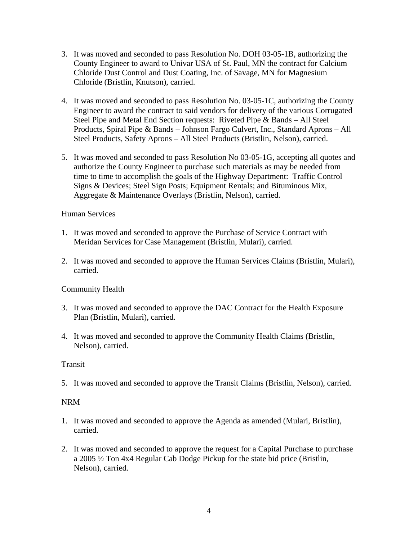- 3. It was moved and seconded to pass Resolution No. DOH 03-05-1B, authorizing the County Engineer to award to Univar USA of St. Paul, MN the contract for Calcium Chloride Dust Control and Dust Coating, Inc. of Savage, MN for Magnesium Chloride (Bristlin, Knutson), carried.
- 4. It was moved and seconded to pass Resolution No. 03-05-1C, authorizing the County Engineer to award the contract to said vendors for delivery of the various Corrugated Steel Pipe and Metal End Section requests: Riveted Pipe & Bands – All Steel Products, Spiral Pipe & Bands – Johnson Fargo Culvert, Inc., Standard Aprons – All Steel Products, Safety Aprons – All Steel Products (Bristlin, Nelson), carried.
- 5. It was moved and seconded to pass Resolution No 03-05-1G, accepting all quotes and authorize the County Engineer to purchase such materials as may be needed from time to time to accomplish the goals of the Highway Department: Traffic Control Signs & Devices; Steel Sign Posts; Equipment Rentals; and Bituminous Mix, Aggregate & Maintenance Overlays (Bristlin, Nelson), carried.

### Human Services

- 1. It was moved and seconded to approve the Purchase of Service Contract with Meridan Services for Case Management (Bristlin, Mulari), carried.
- 2. It was moved and seconded to approve the Human Services Claims (Bristlin, Mulari), carried.

# Community Health

- 3. It was moved and seconded to approve the DAC Contract for the Health Exposure Plan (Bristlin, Mulari), carried.
- 4. It was moved and seconded to approve the Community Health Claims (Bristlin, Nelson), carried.

# **Transit**

5. It was moved and seconded to approve the Transit Claims (Bristlin, Nelson), carried.

# NRM

- 1. It was moved and seconded to approve the Agenda as amended (Mulari, Bristlin), carried.
- 2. It was moved and seconded to approve the request for a Capital Purchase to purchase a 2005 ½ Ton 4x4 Regular Cab Dodge Pickup for the state bid price (Bristlin, Nelson), carried.